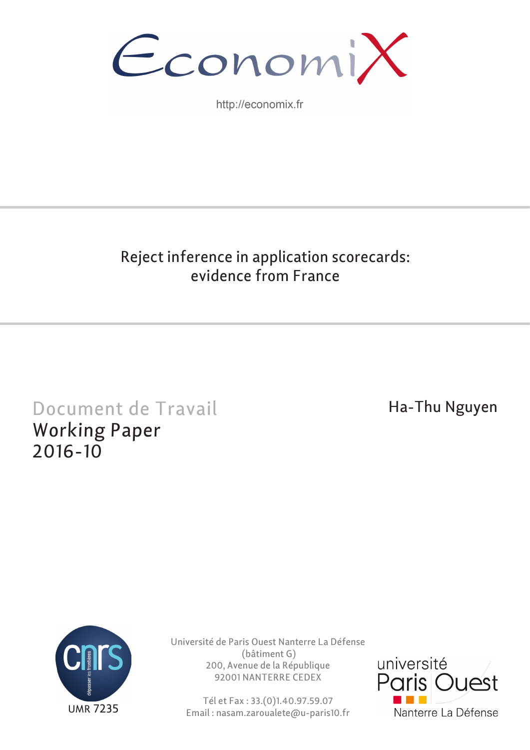

http://economix.fr

# Reject inference in application scorecards: evidence from France

# Document de Travail Working Paper 2016-10

# Ha-Thu Nguyen



Université de Paris Ouest Nanterre La Défense (bâtiment G) 200, Avenue de la République 92001 NANTERRE CEDEX

Tél et Fax : 33.(0)1.40.97.59.07 Email : nasam.zaroualete@u-paris10.fr

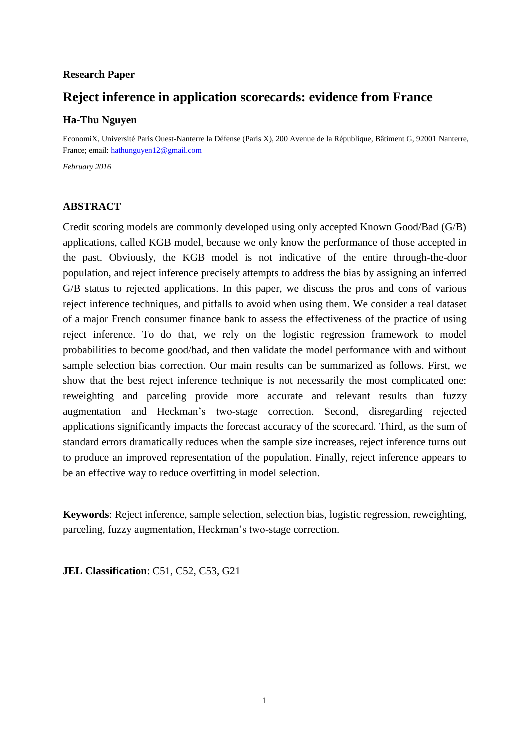### **Research Paper**

# **Reject inference in application scorecards: evidence from France**

### **Ha-Thu Nguyen**

EconomiX, Université Paris Ouest-Nanterre la Défense (Paris X), 200 Avenue de la République, Bâtiment G, 92001 Nanterre, France; email: [hathunguyen12@gmail.com](mailto:hathunguyen12@gmail.com)

*February 2016*

### **ABSTRACT**

Credit scoring models are commonly developed using only accepted Known Good/Bad (G/B) applications, called KGB model, because we only know the performance of those accepted in the past. Obviously, the KGB model is not indicative of the entire through-the-door population, and reject inference precisely attempts to address the bias by assigning an inferred G/B status to rejected applications. In this paper, we discuss the pros and cons of various reject inference techniques, and pitfalls to avoid when using them. We consider a real dataset of a major French consumer finance bank to assess the effectiveness of the practice of using reject inference. To do that, we rely on the logistic regression framework to model probabilities to become good/bad, and then validate the model performance with and without sample selection bias correction. Our main results can be summarized as follows. First, we show that the best reject inference technique is not necessarily the most complicated one: reweighting and parceling provide more accurate and relevant results than fuzzy augmentation and Heckman's two-stage correction. Second, disregarding rejected applications significantly impacts the forecast accuracy of the scorecard. Third, as the sum of standard errors dramatically reduces when the sample size increases, reject inference turns out to produce an improved representation of the population. Finally, reject inference appears to be an effective way to reduce overfitting in model selection.

**Keywords**: Reject inference, sample selection, selection bias, logistic regression, reweighting, parceling, fuzzy augmentation, Heckman's two-stage correction.

**JEL Classification**: C51, C52, C53, G21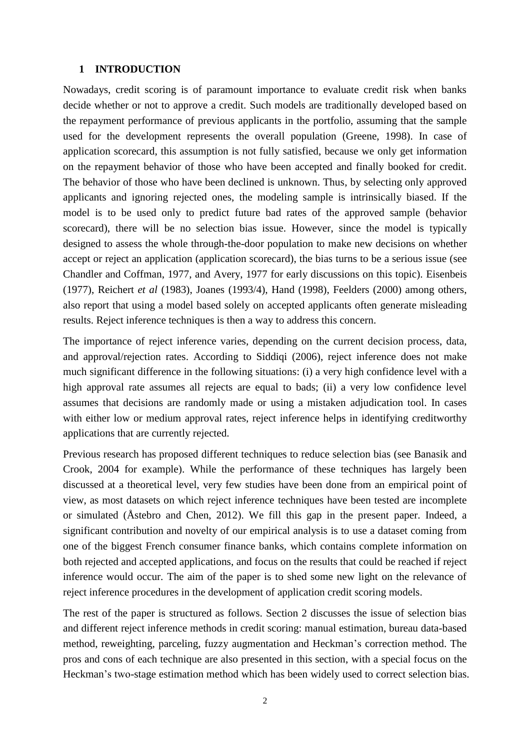### **1 INTRODUCTION**

Nowadays, credit scoring is of paramount importance to evaluate credit risk when banks decide whether or not to approve a credit. Such models are traditionally developed based on the repayment performance of previous applicants in the portfolio, assuming that the sample used for the development represents the overall population (Greene, 1998). In case of application scorecard, this assumption is not fully satisfied, because we only get information on the repayment behavior of those who have been accepted and finally booked for credit. The behavior of those who have been declined is unknown. Thus, by selecting only approved applicants and ignoring rejected ones, the modeling sample is intrinsically biased. If the model is to be used only to predict future bad rates of the approved sample (behavior scorecard), there will be no selection bias issue. However, since the model is typically designed to assess the whole through-the-door population to make new decisions on whether accept or reject an application (application scorecard), the bias turns to be a serious issue (see Chandler and Coffman, 1977, and Avery, 1977 for early discussions on this topic). Eisenbeis (1977), Reichert *et al* (1983), Joanes (1993/4), Hand (1998), Feelders (2000) among others, also report that using a model based solely on accepted applicants often generate misleading results. Reject inference techniques is then a way to address this concern.

The importance of reject inference varies, depending on the current decision process, data, and approval/rejection rates. According to Siddiqi (2006), reject inference does not make much significant difference in the following situations: (i) a very high confidence level with a high approval rate assumes all rejects are equal to bads; (ii) a very low confidence level assumes that decisions are randomly made or using a mistaken adjudication tool. In cases with either low or medium approval rates, reject inference helps in identifying creditworthy applications that are currently rejected.

Previous research has proposed different techniques to reduce selection bias (see Banasik and Crook, 2004 for example). While the performance of these techniques has largely been discussed at a theoretical level, very few studies have been done from an empirical point of view, as most datasets on which reject inference techniques have been tested are incomplete or simulated (Åstebro and Chen, 2012). We fill this gap in the present paper. Indeed, a significant contribution and novelty of our empirical analysis is to use a dataset coming from one of the biggest French consumer finance banks, which contains complete information on both rejected and accepted applications, and focus on the results that could be reached if reject inference would occur. The aim of the paper is to shed some new light on the relevance of reject inference procedures in the development of application credit scoring models.

The rest of the paper is structured as follows. Section 2 discusses the issue of selection bias and different reject inference methods in credit scoring: manual estimation, bureau data-based method, reweighting, parceling, fuzzy augmentation and Heckman's correction method. The pros and cons of each technique are also presented in this section, with a special focus on the Heckman's two-stage estimation method which has been widely used to correct selection bias.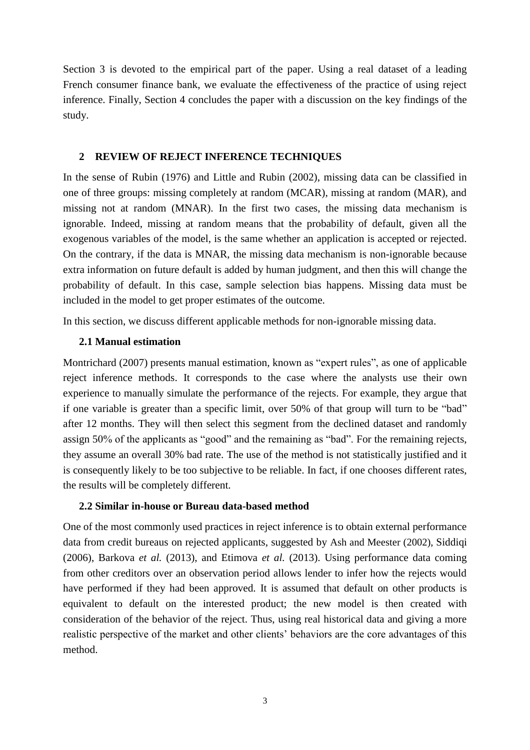Section 3 is devoted to the empirical part of the paper. Using a real dataset of a leading French consumer finance bank, we evaluate the effectiveness of the practice of using reject inference. Finally, Section 4 concludes the paper with a discussion on the key findings of the study.

### **2 REVIEW OF REJECT INFERENCE TECHNIQUES**

In the sense of Rubin (1976) and Little and Rubin (2002), missing data can be classified in one of three groups: missing completely at random (MCAR), missing at random (MAR), and missing not at random (MNAR). In the first two cases, the missing data mechanism is ignorable. Indeed, missing at random means that the probability of default, given all the exogenous variables of the model, is the same whether an application is accepted or rejected. On the contrary, if the data is MNAR, the missing data mechanism is non-ignorable because extra information on future default is added by human judgment, and then this will change the probability of default. In this case, sample selection bias happens. Missing data must be included in the model to get proper estimates of the outcome.

In this section, we discuss different applicable methods for non-ignorable missing data.

### **2.1 Manual estimation**

Montrichard (2007) presents manual estimation*,* known as "expert rules", as one of applicable reject inference methods. It corresponds to the case where the analysts use their own experience to manually simulate the performance of the rejects. For example, they argue that if one variable is greater than a specific limit, over 50% of that group will turn to be "bad" after 12 months. They will then select this segment from the declined dataset and randomly assign 50% of the applicants as "good" and the remaining as "bad". For the remaining rejects, they assume an overall 30% bad rate. The use of the method is not statistically justified and it is consequently likely to be too subjective to be reliable. In fact, if one chooses different rates, the results will be completely different.

### **2.2 Similar in-house or Bureau data-based method**

One of the most commonly used practices in reject inference is to obtain external performance data from credit bureaus on rejected applicants, suggested by Ash and Meester (2002), Siddiqi (2006), Barkova *et al.* (2013), and Etimova *et al.* (2013). Using performance data coming from other creditors over an observation period allows lender to infer how the rejects would have performed if they had been approved. It is assumed that default on other products is equivalent to default on the interested product; the new model is then created with consideration of the behavior of the reject. Thus, using real historical data and giving a more realistic perspective of the market and other clients' behaviors are the core advantages of this method.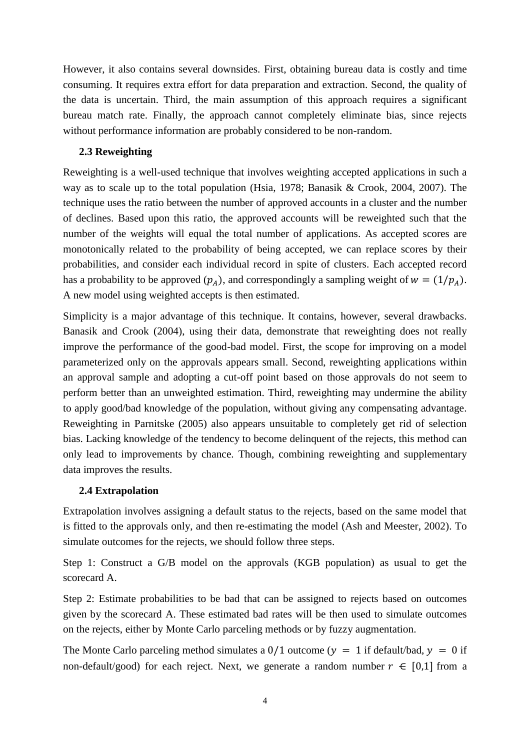However, it also contains several downsides. First, obtaining bureau data is costly and time consuming. It requires extra effort for data preparation and extraction. Second, the quality of the data is uncertain. Third, the main assumption of this approach requires a significant bureau match rate. Finally, the approach cannot completely eliminate bias, since rejects without performance information are probably considered to be non-random.

### **2.3 Reweighting**

Reweighting is a well-used technique that involves weighting accepted applications in such a way as to scale up to the total population (Hsia, 1978; Banasik & Crook, 2004, 2007). The technique uses the ratio between the number of approved accounts in a cluster and the number of declines. Based upon this ratio, the approved accounts will be reweighted such that the number of the weights will equal the total number of applications. As accepted scores are monotonically related to the probability of being accepted, we can replace scores by their probabilities, and consider each individual record in spite of clusters. Each accepted record has a probability to be approved  $(p_A)$ , and correspondingly a sampling weight of  $w = (1/p_A)$ . A new model using weighted accepts is then estimated.

Simplicity is a major advantage of this technique. It contains, however, several drawbacks. Banasik and Crook (2004), using their data, demonstrate that reweighting does not really improve the performance of the good-bad model. First, the scope for improving on a model parameterized only on the approvals appears small. Second, reweighting applications within an approval sample and adopting a cut-off point based on those approvals do not seem to perform better than an unweighted estimation. Third, reweighting may undermine the ability to apply good/bad knowledge of the population, without giving any compensating advantage. Reweighting in Parnitske (2005) also appears unsuitable to completely get rid of selection bias. Lacking knowledge of the tendency to become delinquent of the rejects, this method can only lead to improvements by chance. Though, combining reweighting and supplementary data improves the results.

### **2.4 Extrapolation**

Extrapolation involves assigning a default status to the rejects, based on the same model that is fitted to the approvals only, and then re-estimating the model (Ash and Meester, 2002). To simulate outcomes for the rejects, we should follow three steps.

Step 1: Construct a G/B model on the approvals (KGB population) as usual to get the scorecard A.

Step 2: Estimate probabilities to be bad that can be assigned to rejects based on outcomes given by the scorecard A. These estimated bad rates will be then used to simulate outcomes on the rejects, either by Monte Carlo parceling methods or by fuzzy augmentation.

The Monte Carlo parceling method simulates a  $0/1$  outcome ( $y = 1$  if default/bad,  $y = 0$  if non-default/good) for each reject. Next, we generate a random number  $r \in [0,1]$  from a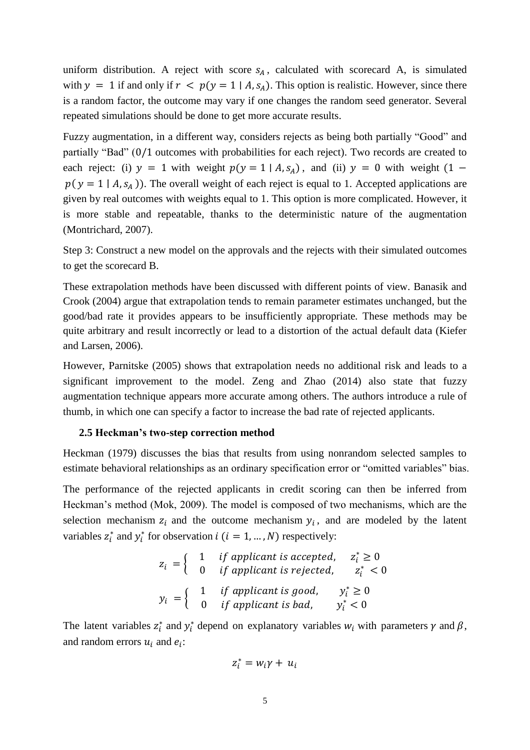uniform distribution. A reject with score  $s_A$ , calculated with scorecard A, is simulated with  $y = 1$  if and only if  $r < p(y = 1 | A, s_A)$ . This option is realistic. However, since there is a random factor, the outcome may vary if one changes the random seed generator. Several repeated simulations should be done to get more accurate results.

Fuzzy augmentation, in a different way, considers rejects as being both partially "Good" and partially "Bad" (0/1 outcomes with probabilities for each reject). Two records are created to each reject: (i)  $y = 1$  with weight  $p(y = 1 | A, s_A)$ , and (ii)  $y = 0$  with weight  $(1$  $p(y = 1 | A, s_A)$ ). The overall weight of each reject is equal to 1. Accepted applications are given by real outcomes with weights equal to 1. This option is more complicated. However, it is more stable and repeatable, thanks to the deterministic nature of the augmentation (Montrichard, 2007).

Step 3: Construct a new model on the approvals and the rejects with their simulated outcomes to get the scorecard B.

These extrapolation methods have been discussed with different points of view. Banasik and Crook (2004) argue that extrapolation tends to remain parameter estimates unchanged, but the good/bad rate it provides appears to be insufficiently appropriate*.* These methods may be quite arbitrary and result incorrectly or lead to a distortion of the actual default data (Kiefer and Larsen, 2006).

However, Parnitske (2005) shows that extrapolation needs no additional risk and leads to a significant improvement to the model. Zeng and Zhao (2014) also state that fuzzy augmentation technique appears more accurate among others. The authors introduce a rule of thumb, in which one can specify a factor to increase the bad rate of rejected applicants.

#### **2.5 Heckman's two-step correction method**

Heckman (1979) discusses the bias that results from using nonrandom selected samples to estimate behavioral relationships as an ordinary specification error or "omitted variables" bias.

The performance of the rejected applicants in credit scoring can then be inferred from Heckman's method (Mok, 2009). The model is composed of two mechanisms, which are the selection mechanism  $z_i$  and the outcome mechanism  $y_i$ , and are modeled by the latent variables  $z_i^*$  and  $y_i^*$  for observation  $i$   $(i = 1, ..., N)$  respectively:

$$
z_i = \begin{cases} 1 & \text{if application is accepted,} & z_i^* \ge 0 \\ 0 & \text{if application is rejected,} & z_i^* < 0 \end{cases}
$$
\n
$$
y_i = \begin{cases} 1 & \text{if application is good,} & y_i^* \ge 0 \\ 0 & \text{if application is bad,} & y_i^* < 0 \end{cases}
$$

The latent variables  $z_i^*$  and  $y_i^*$  depend on explanatory variables  $w_i$  with parameters  $\gamma$  and  $\beta$ , and random errors  $u_i$  and  $e_i$ :

$$
z_i^* = w_i \gamma + u_i
$$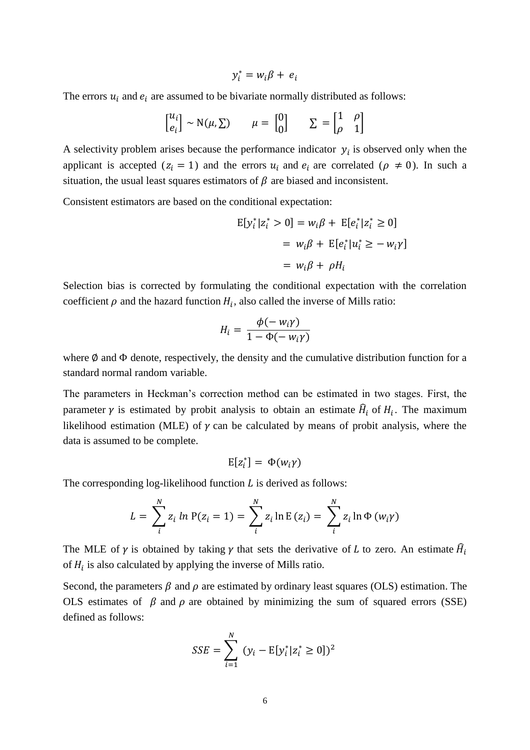$$
y_i^* = w_i \beta + e_i
$$

The errors  $u_i$  and  $e_i$  are assumed to be bivariate normally distributed as follows:

$$
\begin{bmatrix} u_i \\ e_i \end{bmatrix} \sim \mathcal{N}(\mu, \Sigma) \qquad \mu = \begin{bmatrix} 0 \\ 0 \end{bmatrix} \qquad \Sigma = \begin{bmatrix} 1 & \rho \\ \rho & 1 \end{bmatrix}
$$

A selectivity problem arises because the performance indicator  $y_i$  is observed only when the applicant is accepted ( $z_i = 1$ ) and the errors  $u_i$  and  $e_i$  are correlated ( $\rho \neq 0$ ). In such a situation, the usual least squares estimators of  $\beta$  are biased and inconsistent.

Consistent estimators are based on the conditional expectation:

$$
E[y_i^* | z_i^* > 0] = w_i \beta + E[e_i^* | z_i^* \ge 0]
$$
  
=  $w_i \beta + E[e_i^* | u_i^* \ge -w_i \gamma]$   
=  $w_i \beta + \rho H_i$ 

Selection bias is corrected by formulating the conditional expectation with the correlation coefficient  $\rho$  and the hazard function  $H_i$ , also called the inverse of Mills ratio:

$$
H_i = \frac{\phi(-w_i\gamma)}{1 - \Phi(-w_i\gamma)}
$$

where  $\emptyset$  and  $\Phi$  denote, respectively, the density and the cumulative distribution function for a standard normal random variable.

The parameters in Heckman's correction method can be estimated in two stages. First, the parameter  $\gamma$  is estimated by probit analysis to obtain an estimate  $\hat{H}_i$  of  $H_i$ . The maximum likelihood estimation (MLE) of  $\gamma$  can be calculated by means of probit analysis, where the data is assumed to be complete.

$$
E[z_i^*] = \Phi(w_i \gamma)
$$

The corresponding log-likelihood function  $L$  is derived as follows:

$$
L = \sum_{i}^{N} z_{i} \ln P(z_{i} = 1) = \sum_{i}^{N} z_{i} \ln E(z_{i}) = \sum_{i}^{N} z_{i} \ln \Phi(w_{i} \gamma)
$$

The MLE of  $\gamma$  is obtained by taking  $\gamma$  that sets the derivative of L to zero. An estimate  $\hat{H}_i$ of  $H_i$  is also calculated by applying the inverse of Mills ratio.

Second, the parameters  $\beta$  and  $\rho$  are estimated by ordinary least squares (OLS) estimation. The OLS estimates of  $\beta$  and  $\rho$  are obtained by minimizing the sum of squared errors (SSE) defined as follows:

$$
SSE = \sum_{i=1}^{N} (y_i - E[y_i^* | z_i^* \ge 0])^2
$$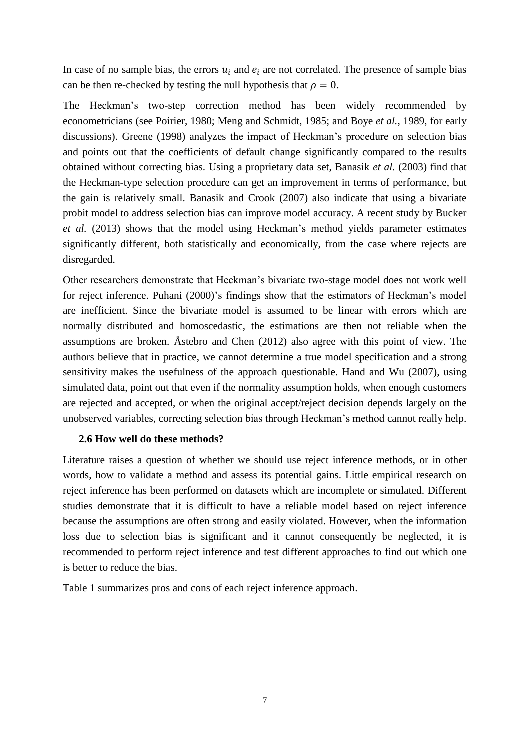In case of no sample bias, the errors  $u_i$  and  $e_i$  are not correlated. The presence of sample bias can be then re-checked by testing the null hypothesis that  $\rho = 0$ .

The Heckman's two-step correction method has been widely recommended by econometricians (see Poirier, 1980; Meng and Schmidt, 1985; and Boye *et al.*, 1989, for early discussions). Greene (1998) analyzes the impact of Heckman's procedure on selection bias and points out that the coefficients of default change significantly compared to the results obtained without correcting bias. Using a proprietary data set, Banasik *et al.* (2003) find that the Heckman-type selection procedure can get an improvement in terms of performance, but the gain is relatively small. Banasik and Crook (2007) also indicate that using a bivariate probit model to address selection bias can improve model accuracy. A recent study by Bucker *et al.* (2013) shows that the model using Heckman's method yields parameter estimates significantly different, both statistically and economically, from the case where rejects are disregarded.

Other researchers demonstrate that Heckman's bivariate two-stage model does not work well for reject inference. Puhani (2000)'s findings show that the estimators of Heckman's model are inefficient. Since the bivariate model is assumed to be linear with errors which are normally distributed and homoscedastic, the estimations are then not reliable when the assumptions are broken. Åstebro and Chen (2012) also agree with this point of view. The authors believe that in practice, we cannot determine a true model specification and a strong sensitivity makes the usefulness of the approach questionable. Hand and Wu (2007), using simulated data, point out that even if the normality assumption holds, when enough customers are rejected and accepted, or when the original accept/reject decision depends largely on the unobserved variables, correcting selection bias through Heckman's method cannot really help.

### **2.6 How well do these methods?**

Literature raises a question of whether we should use reject inference methods, or in other words, how to validate a method and assess its potential gains. Little empirical research on reject inference has been performed on datasets which are incomplete or simulated. Different studies demonstrate that it is difficult to have a reliable model based on reject inference because the assumptions are often strong and easily violated. However, when the information loss due to selection bias is significant and it cannot consequently be neglected, it is recommended to perform reject inference and test different approaches to find out which one is better to reduce the bias.

Table 1 summarizes pros and cons of each reject inference approach.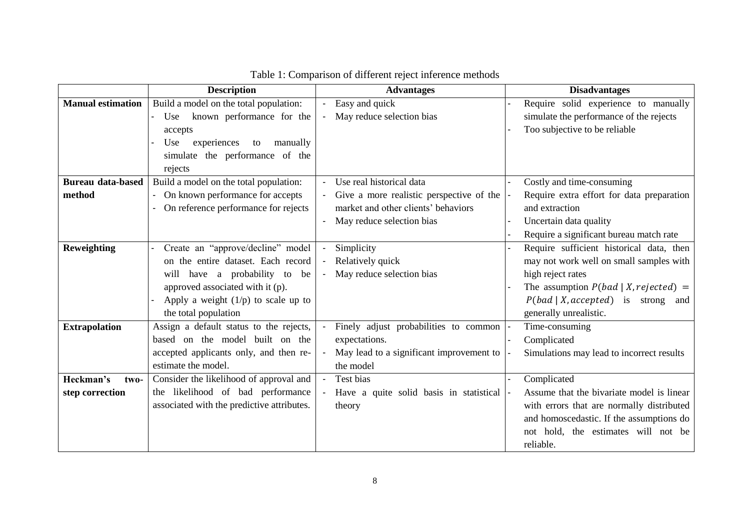|                          | <b>Description</b>                                     | <b>Advantages</b>                                                 | <b>Disadvantages</b>                      |
|--------------------------|--------------------------------------------------------|-------------------------------------------------------------------|-------------------------------------------|
| <b>Manual estimation</b> | Build a model on the total population:                 | Easy and quick                                                    | Require solid experience to manually      |
|                          | known performance for the<br>Use<br>$\blacksquare$     | May reduce selection bias<br>$\blacksquare$                       | simulate the performance of the rejects   |
|                          | accepts                                                |                                                                   | Too subjective to be reliable             |
|                          | Use<br>experiences<br>manually<br>to                   |                                                                   |                                           |
|                          | simulate the performance of the                        |                                                                   |                                           |
|                          | rejects                                                |                                                                   |                                           |
| <b>Bureau data-based</b> | Build a model on the total population:                 | Use real historical data                                          | Costly and time-consuming                 |
| method                   | On known performance for accepts<br>$\blacksquare$     | Give a more realistic perspective of the                          | Require extra effort for data preparation |
|                          | On reference performance for rejects<br>$\blacksquare$ | market and other clients' behaviors                               | and extraction                            |
|                          |                                                        | May reduce selection bias                                         | Uncertain data quality                    |
|                          |                                                        |                                                                   | Require a significant bureau match rate   |
| Reweighting              | Create an "approve/decline" model<br>$\blacksquare$    | Simplicity<br>$\blacksquare$                                      | Require sufficient historical data, then  |
|                          | on the entire dataset. Each record                     | Relatively quick                                                  | may not work well on small samples with   |
|                          | will have a probability to be                          | May reduce selection bias<br>$\blacksquare$                       | high reject rates                         |
|                          | approved associated with it (p).                       |                                                                   | The assumption $P(bad   X, rejected)$ =   |
|                          | Apply a weight $(1/p)$ to scale up to                  |                                                                   | $P(bad   X, accepted)$ is strong<br>and   |
|                          | the total population                                   |                                                                   | generally unrealistic.                    |
| <b>Extrapolation</b>     | Assign a default status to the rejects,                | Finely adjust probabilities to common<br>$\overline{\phantom{a}}$ | Time-consuming                            |
|                          | based on the model built on the                        | expectations.                                                     | Complicated                               |
|                          | accepted applicants only, and then re-                 | May lead to a significant improvement to                          | Simulations may lead to incorrect results |
|                          | estimate the model.                                    | the model                                                         |                                           |
| Heckman's<br>two-        | Consider the likelihood of approval and                | Test bias                                                         | Complicated                               |
| step correction          | the likelihood of bad performance                      | Have a quite solid basis in statistical                           | Assume that the bivariate model is linear |
|                          | associated with the predictive attributes.             | theory                                                            | with errors that are normally distributed |
|                          |                                                        |                                                                   | and homoscedastic. If the assumptions do  |
|                          |                                                        |                                                                   | not hold, the estimates will not be       |
|                          |                                                        |                                                                   | reliable.                                 |

# Table 1: Comparison of different reject inference methods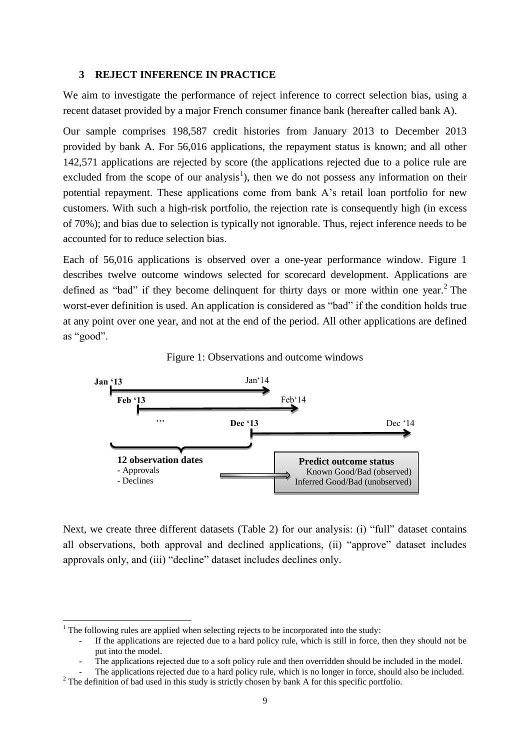### **3 REJECT INFERENCE IN PRACTICE**

We aim to investigate the performance of reject inference to correct selection bias, using a recent dataset provided by a major French consumer finance bank (hereafter called bank A).

Our sample comprises 198,587 credit histories from January 2013 to December 2013 provided by bank A. For 56,016 applications, the repayment status is known; and all other 142,571 applications are rejected by score (the applications rejected due to a police rule are excluded from the scope of our analysis<sup>1</sup>), then we do not possess any information on their potential repayment. These applications come from bank A's retail loan portfolio for new customers. With such a high-risk portfolio, the rejection rate is consequently high (in excess of 70%); and bias due to selection is typically not ignorable. Thus, reject inference needs to be accounted for to reduce selection bias.

Each of 56,016 applications is observed over a one-year performance window. Figure 1 describes twelve outcome windows selected for scorecard development. Applications are defined as "bad" if they become delinquent for thirty days or more within one year.<sup>2</sup> The worst-ever definition is used. An application is considered as "bad" if the condition holds true at any point over one year, and not at the end of the period. All other applications are defined as "good".





Next, we create three different datasets (Table 2) for our analysis: (i) "full" dataset contains all observations, both approval and declined applications, (ii) "approve" dataset includes approvals only, and (iii) "decline" dataset includes declines only.

 $\overline{a}$ 

 $1$  The following rules are applied when selecting rejects to be incorporated into the study:

If the applications are rejected due to a hard policy rule, which is still in force, then they should not be put into the model.

The applications rejected due to a soft policy rule and then overridden should be included in the model.

The applications rejected due to a hard policy rule, which is no longer in force, should also be included. <sup>2</sup> The definition of bad used in this study is strictly chosen by bank A for this specific portfolio.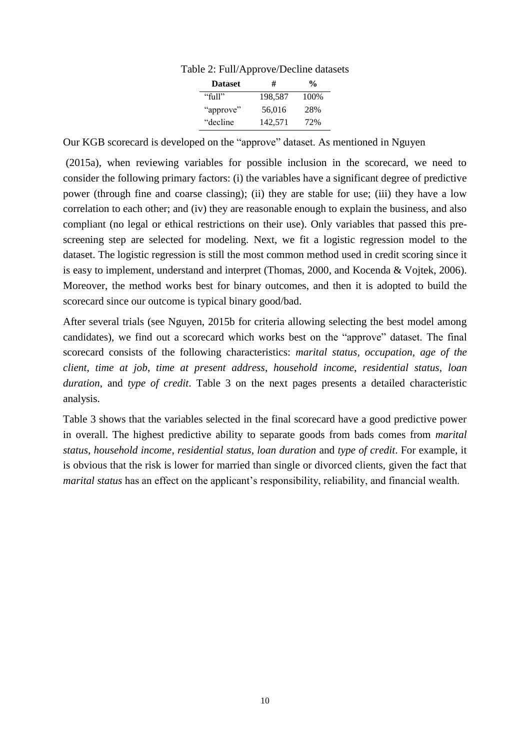| <b>Dataset</b> | #       | $\frac{0}{n}$ |  |  |
|----------------|---------|---------------|--|--|
| "full"         | 198,587 | 100%          |  |  |
| "approve"      | 56,016  | 28%           |  |  |
| "decline"      | 142,571 | 72%           |  |  |

Table 2: Full/Approve/Decline datasets

Our KGB scorecard is developed on the "approve" dataset. As mentioned in Nguyen

(2015a), when reviewing variables for possible inclusion in the scorecard, we need to consider the following primary factors: (i) the variables have a significant degree of predictive power (through fine and coarse classing); (ii) they are stable for use; (iii) they have a low correlation to each other; and (iv) they are reasonable enough to explain the business, and also compliant (no legal or ethical restrictions on their use). Only variables that passed this prescreening step are selected for modeling. Next, we fit a logistic regression model to the dataset. The logistic regression is still the most common method used in credit scoring since it is easy to implement, understand and interpret (Thomas, 2000, and Kocenda & Vojtek, 2006). Moreover, the method works best for binary outcomes, and then it is adopted to build the scorecard since our outcome is typical binary good/bad.

After several trials (see Nguyen, 2015b for criteria allowing selecting the best model among candidates), we find out a scorecard which works best on the "approve" dataset. The final scorecard consists of the following characteristics: *marital status*, *occupation*, *age of the client*, *time at job*, *time at present address*, *household income*, *residential status*, *loan duration*, and *type of credit*. Table 3 on the next pages presents a detailed characteristic analysis.

Table 3 shows that the variables selected in the final scorecard have a good predictive power in overall. The highest predictive ability to separate goods from bads comes from *marital status*, *household income*, *residential status*, *loan duration* and *type of credit*. For example, it is obvious that the risk is lower for married than single or divorced clients, given the fact that *marital status* has an effect on the applicant's responsibility, reliability, and financial wealth.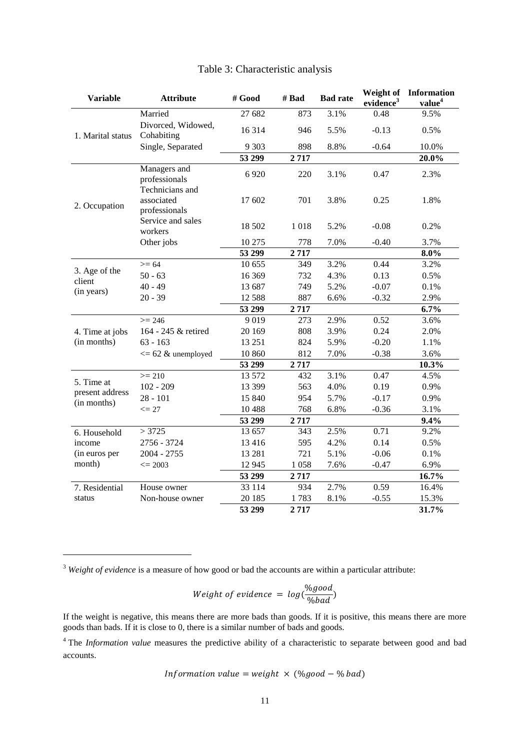| <b>Variable</b>   | <b>Attribute</b>                               | # Good   | # Bad | <b>Bad rate</b> | Weight of<br>evidence <sup>3</sup> | Information<br>value <sup>4</sup> |
|-------------------|------------------------------------------------|----------|-------|-----------------|------------------------------------|-----------------------------------|
|                   | Married                                        | 27 682   | 873   | 3.1%            | 0.48                               | 9.5%                              |
| 1. Marital status | Divorced, Widowed,<br>Cohabiting               | 16 3 14  | 946   | 5.5%            | $-0.13$                            | 0.5%                              |
|                   | Single, Separated                              | 9 3 0 3  | 898   | 8.8%            | $-0.64$                            | 10.0%                             |
|                   |                                                | 53 299   | 2717  |                 |                                    | 20.0%                             |
|                   | Managers and<br>professionals                  | 6920     | 220   | 3.1%            | 0.47                               | 2.3%                              |
| 2. Occupation     | Technicians and<br>associated<br>professionals | 17 602   | 701   | 3.8%            | 0.25                               | 1.8%                              |
|                   | Service and sales<br>workers                   | 18 502   | 1018  | 5.2%            | $-0.08$                            | 0.2%                              |
|                   | Other jobs                                     | 10 275   | 778   | 7.0%            | $-0.40$                            | 3.7%                              |
|                   |                                                | 53 299   | 2717  |                 |                                    | $8.0\%$                           |
| 3. Age of the     | $>= 64$                                        | 10 655   | 349   | 3.2%            | 0.44                               | 3.2%                              |
| client            | $50 - 63$                                      | 16 369   | 732   | 4.3%            | 0.13                               | 0.5%                              |
| (in years)        | $40 - 49$                                      | 13 687   | 749   | 5.2%            | $-0.07$                            | 0.1%                              |
|                   | $20 - 39$                                      | 12 5 8 8 | 887   | 6.6%            | $-0.32$                            | 2.9%                              |
|                   |                                                | 53 299   | 2717  |                 |                                    | $6.7\%$                           |
|                   | $>= 246$                                       | 9019     | 273   | $2.9\%$         | 0.52                               | 3.6%                              |
| 4. Time at jobs   | 164 - 245 & retired                            | 20 169   | 808   | 3.9%            | 0.24                               | 2.0%                              |
| (in months)       | $63 - 163$                                     | 13 25 1  | 824   | 5.9%            | $-0.20$                            | 1.1%                              |
|                   | $\epsilon$ = 62 & unemployed                   | 10 860   | 812   | 7.0%            | $-0.38$                            | 3.6%                              |
|                   |                                                | 53 299   | 2717  |                 |                                    | 10.3%                             |
| 5. Time at        | $>= 210$                                       | 13 572   | 432   | 3.1%            | 0.47                               | 4.5%                              |
| present address   | $102 - 209$                                    | 13 399   | 563   | 4.0%            | 0.19                               | 0.9%                              |
| (in months)       | $28 - 101$                                     | 15 840   | 954   | 5.7%            | $-0.17$                            | 0.9%                              |
|                   | $\leq$ 27                                      | 10488    | 768   | 6.8%            | $-0.36$                            | 3.1%                              |
|                   |                                                | 53 299   | 2717  |                 |                                    | 9.4%                              |
| 6. Household      | >3725                                          | 13 657   | 343   | 2.5%            | 0.71                               | 9.2%                              |
| income            | 2756 - 3724                                    | 13 4 16  | 595   | 4.2%            | 0.14                               | 0.5%                              |
| (in euros per     | $2004 - 2755$                                  | 13 28 1  | 721   | 5.1%            | $-0.06$                            | $0.1\%$                           |
| month)            | $\leq$ 2003                                    | 12 945   | 1058  | 7.6%            | $-0.47$                            | 6.9%                              |
|                   |                                                | 53 299   | 2717  |                 |                                    | 16.7%                             |
| 7. Residential    | House owner                                    | 33 114   | 934   | 2.7%            | 0.59                               | 16.4%                             |
| status            | Non-house owner                                | 20 18 5  | 1783  | 8.1%            | $-0.55$                            | 15.3%                             |
|                   |                                                | 53 299   | 2717  |                 |                                    | 31.7%                             |

# Table 3: Characteristic analysis

<sup>3</sup> *Weight of evidence* is a measure of how good or bad the accounts are within a particular attribute:

 $\overline{a}$ 

Weight of evidence = 
$$
log(\frac{\%good}{\%bad})
$$

If the weight is negative, this means there are more bads than goods. If it is positive, this means there are more goods than bads. If it is close to 0, there is a similar number of bads and goods.

<sup>4</sup> The *Information value* measures the predictive ability of a characteristic to separate between good and bad accounts.

$$
Information value = weight \times (\% good - \% bad)
$$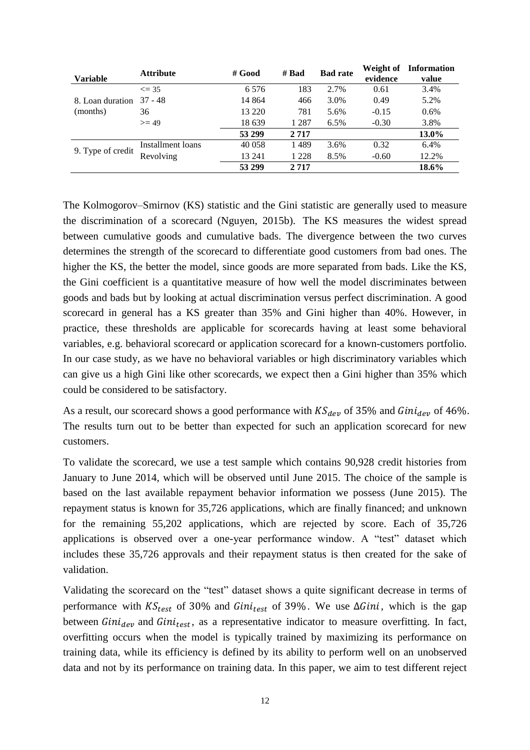| <b>Variable</b>   | <b>Attribute</b>  | # Good  | # $Bad$ | <b>Bad rate</b> | Weight of<br>evidence | <b>Information</b><br>value |
|-------------------|-------------------|---------|---------|-----------------|-----------------------|-----------------------------|
|                   | $\leq$ 35         | 6 5 7 6 | 183     | 2.7%            | 0.61                  | 3.4%                        |
| 8. Loan duration  | $37 - 48$         | 14 864  | 466     | 3.0%            | 0.49                  | 5.2%                        |
| (months)          | 36                | 13 2 20 | 781     | 5.6%            | $-0.15$               | $0.6\%$                     |
|                   | $>= 49$           | 18 639  | 1 2 8 7 | 6.5%            | $-0.30$               | 3.8%                        |
|                   |                   | 53 299  | 2 7 1 7 |                 |                       | 13.0%                       |
| 9. Type of credit | Installment loans | 40 058  | 1489    | 3.6%            | 0.32                  | 6.4%                        |
|                   | Revolving         | 13 24 1 | 1 2 2 8 | 8.5%            | $-0.60$               | 12.2%                       |
|                   |                   | 53 299  | 2717    |                 |                       | 18.6%                       |

The Kolmogorov–Smirnov (KS) statistic and the Gini statistic are generally used to measure the discrimination of a scorecard (Nguyen, 2015b). The KS measures the widest spread between cumulative goods and cumulative bads. The divergence between the two curves determines the strength of the scorecard to differentiate good customers from bad ones. The higher the KS, the better the model, since goods are more separated from bads. Like the KS, the Gini coefficient is a quantitative measure of how well the model discriminates between goods and bads but by looking at actual discrimination versus perfect discrimination. A good scorecard in general has a KS greater than 35% and Gini higher than 40%. However, in practice, these thresholds are applicable for scorecards having at least some behavioral variables, e.g. behavioral scorecard or application scorecard for a known-customers portfolio. In our case study, as we have no behavioral variables or high discriminatory variables which can give us a high Gini like other scorecards, we expect then a Gini higher than 35% which could be considered to be satisfactory.

As a result, our scorecard shows a good performance with  $KS_{dev}$  of 35% and  $Gini_{dev}$  of 46%. The results turn out to be better than expected for such an application scorecard for new customers.

To validate the scorecard, we use a test sample which contains 90,928 credit histories from January to June 2014, which will be observed until June 2015. The choice of the sample is based on the last available repayment behavior information we possess (June 2015). The repayment status is known for 35,726 applications, which are finally financed; and unknown for the remaining 55,202 applications, which are rejected by score. Each of 35,726 applications is observed over a one-year performance window. A "test" dataset which includes these 35,726 approvals and their repayment status is then created for the sake of validation.

Validating the scorecard on the "test" dataset shows a quite significant decrease in terms of performance with  $KS_{test}$  of 30% and  $Gini_{test}$  of 39%. We use  $\Delta Gini$ , which is the gap between  $Gini_{dev}$  and  $Gini_{test}$ , as a representative indicator to measure overfitting. In fact, overfitting occurs when the model is typically trained by maximizing its performance on training data, while its efficiency is defined by its ability to perform well on an unobserved data and not by its performance on training data. In this paper, we aim to test different reject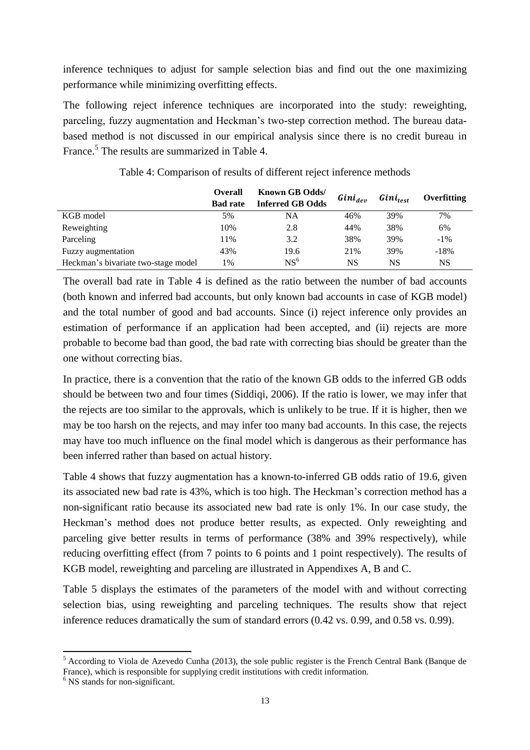inference techniques to adjust for sample selection bias and find out the one maximizing performance while minimizing overfitting effects.

The following reject inference techniques are incorporated into the study: reweighting, parceling, fuzzy augmentation and Heckman's two-step correction method. The bureau databased method is not discussed in our empirical analysis since there is no credit bureau in France.<sup>5</sup> The results are summarized in Table 4.

|                                     | <b>Overall</b>  | <b>Known GB Odds/</b>   | $Gini_{dev}$ | <i>Gini<sub>test</sub></i> | Overfitting |  |
|-------------------------------------|-----------------|-------------------------|--------------|----------------------------|-------------|--|
|                                     | <b>Bad rate</b> | <b>Inferred GB Odds</b> |              |                            |             |  |
| KGB model                           | 5%              | NA                      | 46%          | 39%                        | 7%          |  |
| Reweighting                         | 10%             | 2.8                     | 44%          | 38%                        | 6%          |  |
| Parceling                           | 11%             | 3.2                     | 38%          | 39%                        | $-1\%$      |  |
| Fuzzy augmentation                  | 43%             | 19.6                    | 21%          | 39%                        | $-18%$      |  |
| Heckman's bivariate two-stage model | 1%              | NS <sup>6</sup>         | <b>NS</b>    | NS                         | NS          |  |

Table 4: Comparison of results of different reject inference methods

The overall bad rate in Table 4 is defined as the ratio between the number of bad accounts (both known and inferred bad accounts, but only known bad accounts in case of KGB model) and the total number of good and bad accounts. Since (i) reject inference only provides an estimation of performance if an application had been accepted, and (ii) rejects are more probable to become bad than good, the bad rate with correcting bias should be greater than the one without correcting bias.

In practice, there is a convention that the ratio of the known GB odds to the inferred GB odds should be between two and four times (Siddiqi, 2006). If the ratio is lower, we may infer that the rejects are too similar to the approvals, which is unlikely to be true. If it is higher, then we may be too harsh on the rejects, and may infer too many bad accounts. In this case, the rejects may have too much influence on the final model which is dangerous as their performance has been inferred rather than based on actual history.

Table 4 shows that fuzzy augmentation has a known-to-inferred GB odds ratio of 19.6, given its associated new bad rate is 43%, which is too high. The Heckman's correction method has a non-significant ratio because its associated new bad rate is only 1%. In our case study, the Heckman's method does not produce better results, as expected. Only reweighting and parceling give better results in terms of performance (38% and 39% respectively), while reducing overfitting effect (from 7 points to 6 points and 1 point respectively). The results of KGB model, reweighting and parceling are illustrated in Appendixes A, B and C.

Table 5 displays the estimates of the parameters of the model with and without correcting selection bias, using reweighting and parceling techniques. The results show that reject inference reduces dramatically the sum of standard errors (0.42 vs. 0.99, and 0.58 vs. 0.99).

 $\overline{a}$ 

<sup>&</sup>lt;sup>5</sup> According to Viola de Azevedo Cunha (2013), the sole public register is the French Central Bank (Banque de France), which is responsible for supplying credit institutions with credit information.

<sup>&</sup>lt;sup>6</sup> NS stands for non-significant.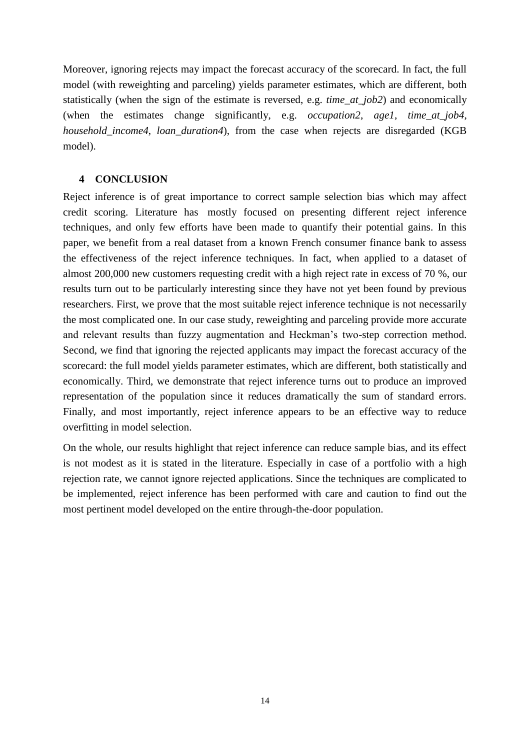Moreover, ignoring rejects may impact the forecast accuracy of the scorecard. In fact, the full model (with reweighting and parceling) yields parameter estimates, which are different, both statistically (when the sign of the estimate is reversed, e.g. *time\_at\_job2*) and economically (when the estimates change significantly, e.g. *occupation2*, *age1*, *time\_at\_job4*, *household\_income4*, *loan\_duration4*), from the case when rejects are disregarded (KGB model).

### **4 CONCLUSION**

Reject inference is of great importance to correct sample selection bias which may affect credit scoring. Literature has mostly focused on presenting different reject inference techniques, and only few efforts have been made to quantify their potential gains. In this paper, we benefit from a real dataset from a known French consumer finance bank to assess the effectiveness of the reject inference techniques. In fact, when applied to a dataset of almost 200,000 new customers requesting credit with a high reject rate in excess of 70 %, our results turn out to be particularly interesting since they have not yet been found by previous researchers. First, we prove that the most suitable reject inference technique is not necessarily the most complicated one. In our case study, reweighting and parceling provide more accurate and relevant results than fuzzy augmentation and Heckman's two-step correction method. Second, we find that ignoring the rejected applicants may impact the forecast accuracy of the scorecard: the full model yields parameter estimates, which are different, both statistically and economically. Third, we demonstrate that reject inference turns out to produce an improved representation of the population since it reduces dramatically the sum of standard errors. Finally, and most importantly, reject inference appears to be an effective way to reduce overfitting in model selection.

On the whole, our results highlight that reject inference can reduce sample bias, and its effect is not modest as it is stated in the literature. Especially in case of a portfolio with a high rejection rate, we cannot ignore rejected applications. Since the techniques are complicated to be implemented, reject inference has been performed with care and caution to find out the most pertinent model developed on the entire through-the-door population.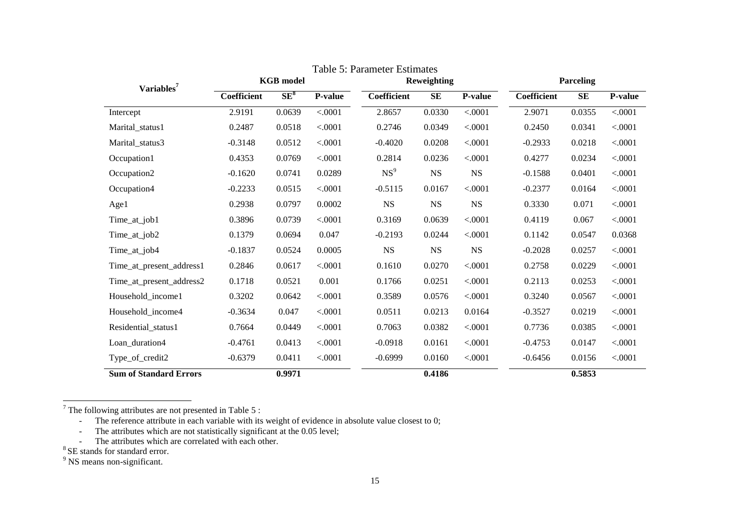| Variables <sup>7</sup>        | <b>KGB</b> model |        | Reweighting |                 |             | <b>Parceling</b> |             |           |         |
|-------------------------------|------------------|--------|-------------|-----------------|-------------|------------------|-------------|-----------|---------|
|                               | Coefficient      | $SE^8$ | P-value     | Coefficient     | <b>SE</b>   | <b>P-value</b>   | Coefficient | <b>SE</b> | P-value |
| Intercept                     | 2.9191           | 0.0639 | < .0001     | 2.8657          | 0.0330      | < .0001          | 2.9071      | 0.0355    | < .0001 |
| Marital_status1               | 0.2487           | 0.0518 | < .0001     | 0.2746          | 0.0349      | < .0001          | 0.2450      | 0.0341    | < .0001 |
| Marital_status3               | $-0.3148$        | 0.0512 | < .0001     | $-0.4020$       | 0.0208      | < .0001          | $-0.2933$   | 0.0218    | < .0001 |
| Occupation1                   | 0.4353           | 0.0769 | < .0001     | 0.2814          | 0.0236      | < .0001          | 0.4277      | 0.0234    | < .0001 |
| Occupation2                   | $-0.1620$        | 0.0741 | 0.0289      | NS <sup>9</sup> | $_{\rm NS}$ | $_{\rm NS}$      | $-0.1588$   | 0.0401    | < .0001 |
| Occupation4                   | $-0.2233$        | 0.0515 | < .0001     | $-0.5115$       | 0.0167      | < .0001          | $-0.2377$   | 0.0164    | < .0001 |
| Age1                          | 0.2938           | 0.0797 | 0.0002      | NS              | $_{\rm NS}$ | $_{\rm NS}$      | 0.3330      | 0.071     | < .0001 |
| Time_at_job1                  | 0.3896           | 0.0739 | < .0001     | 0.3169          | 0.0639      | < .0001          | 0.4119      | 0.067     | < .0001 |
| Time_at_job2                  | 0.1379           | 0.0694 | 0.047       | $-0.2193$       | 0.0244      | < .0001          | 0.1142      | 0.0547    | 0.0368  |
| Time_at_job4                  | $-0.1837$        | 0.0524 | 0.0005      | NS              | $_{\rm NS}$ | $_{\rm NS}$      | $-0.2028$   | 0.0257    | < .0001 |
| Time_at_present_address1      | 0.2846           | 0.0617 | < .0001     | 0.1610          | 0.0270      | < .0001          | 0.2758      | 0.0229    | < .0001 |
| Time_at_present_address2      | 0.1718           | 0.0521 | 0.001       | 0.1766          | 0.0251      | < .0001          | 0.2113      | 0.0253    | < .0001 |
| Household_income1             | 0.3202           | 0.0642 | < .0001     | 0.3589          | 0.0576      | < .0001          | 0.3240      | 0.0567    | < .0001 |
| Household_income4             | $-0.3634$        | 0.047  | < .0001     | 0.0511          | 0.0213      | 0.0164           | $-0.3527$   | 0.0219    | < .0001 |
| Residential_status1           | 0.7664           | 0.0449 | < .0001     | 0.7063          | 0.0382      | < .0001          | 0.7736      | 0.0385    | < .0001 |
| Loan_duration4                | $-0.4761$        | 0.0413 | < .0001     | $-0.0918$       | 0.0161      | < .0001          | $-0.4753$   | 0.0147    | < .0001 |
| Type_of_credit2               | $-0.6379$        | 0.0411 | < .0001     | $-0.6999$       | 0.0160      | < .0001          | $-0.6456$   | 0.0156    | < .0001 |
| <b>Sum of Standard Errors</b> |                  | 0.9971 |             |                 | 0.4186      |                  |             | 0.5853    |         |

Table 5: Parameter Estimates

 $7$  The following attributes are not presented in Table 5 :

- The reference attribute in each variable with its weight of evidence in absolute value closest to 0;

- The attributes which are not statistically significant at the 0.05 level;

- The attributes which are correlated with each other.

<sup>8</sup> SE stands for standard error.

<sup>9</sup> NS means non-significant.

 $\overline{a}$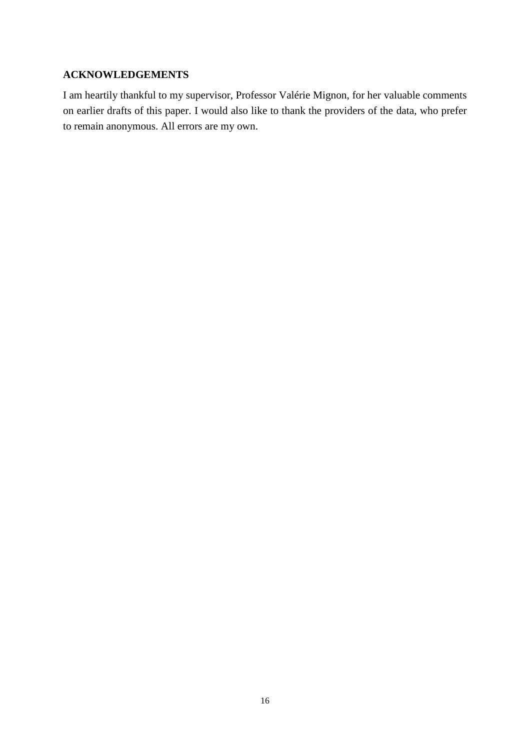# **ACKNOWLEDGEMENTS**

I am heartily thankful to my supervisor, Professor Valérie Mignon, for her valuable comments on earlier drafts of this paper. I would also like to thank the providers of the data, who prefer to remain anonymous. All errors are my own.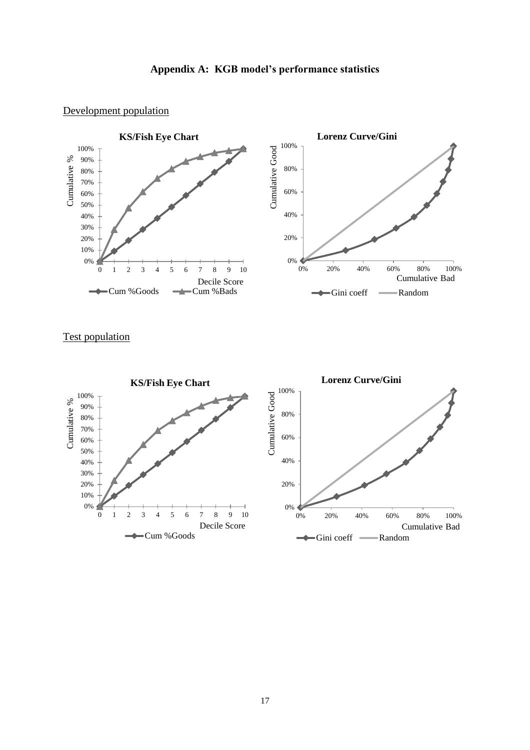### Development population



# Test population

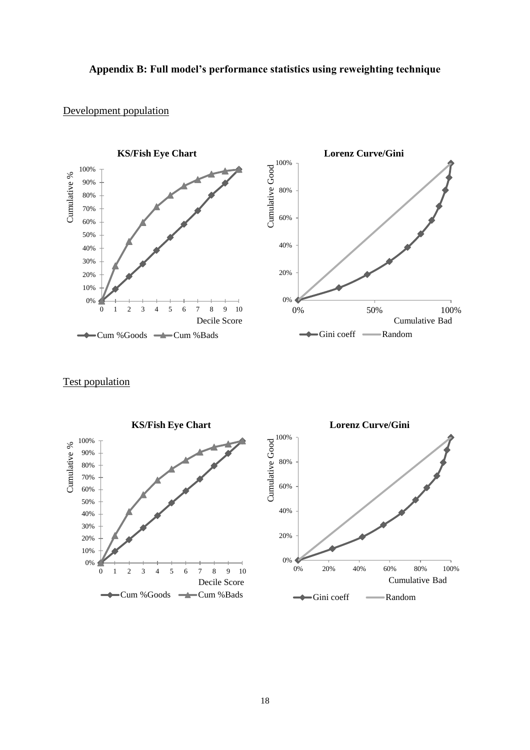# **Appendix B: Full model's performance statistics using reweighting technique**

### Development population



Test population

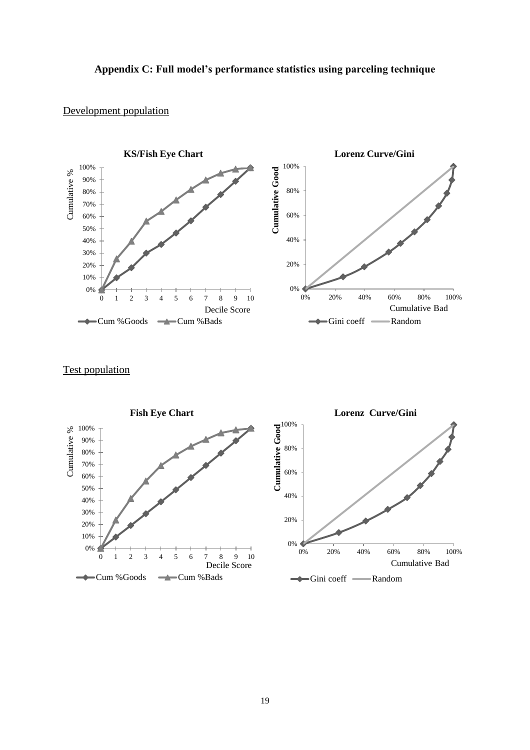# **Appendix C: Full model's performance statistics using parceling technique**

### Development population



# Test population

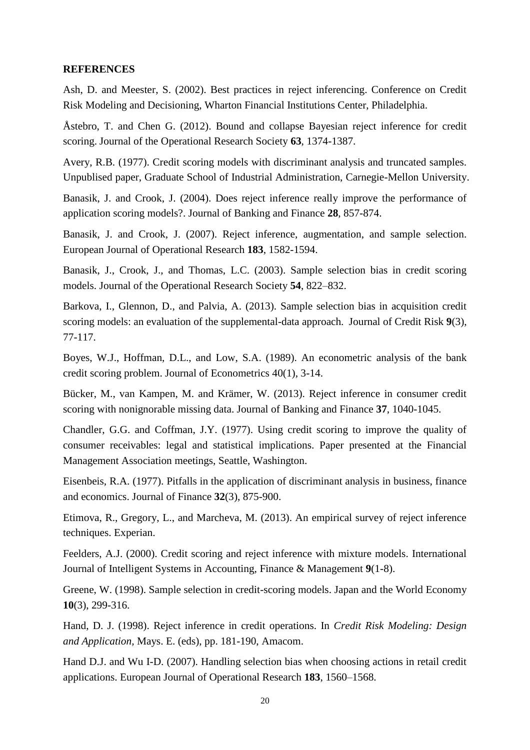### **REFERENCES**

Ash, D. and Meester, S. (2002). Best practices in reject inferencing. Conference on Credit Risk Modeling and Decisioning, Wharton Financial Institutions Center, Philadelphia.

Åstebro, T. and Chen G. (2012). Bound and collapse Bayesian reject inference for credit scoring. Journal of the Operational Research Society **63**, 1374-1387.

Avery, R.B. (1977). Credit scoring models with discriminant analysis and truncated samples. Unpublised paper, Graduate School of Industrial Administration, Carnegie-Mellon University.

Banasik, J. and Crook, J. (2004). Does reject inference really improve the performance of application scoring models?. Journal of Banking and Finance **28**, 857-874.

Banasik, J. and Crook, J. (2007). Reject inference, augmentation, and sample selection. European Journal of Operational Research **183**, 1582-1594.

Banasik, J., Crook, J., and Thomas, L.C. (2003). Sample selection bias in credit scoring models. Journal of the Operational Research Society **54**, 822–832.

Barkova, I., Glennon, D., and Palvia, A. (2013). Sample selection bias in acquisition credit scoring models: an evaluation of the supplemental-data approach. Journal of Credit Risk **9**(3), 77-117.

Boyes, W.J., Hoffman, D.L., and Low, S.A. (1989). An econometric analysis of the bank credit scoring problem. Journal of Econometrics 40(1), 3-14.

Bücker, M., van Kampen, M. and Krämer, W. (2013). Reject inference in consumer credit scoring with nonignorable missing data. Journal of Banking and Finance **37**, 1040-1045.

Chandler, G.G. and Coffman, J.Y. (1977). Using credit scoring to improve the quality of consumer receivables: legal and statistical implications. Paper presented at the Financial Management Association meetings, Seattle, Washington.

Eisenbeis, R.A. (1977). Pitfalls in the application of discriminant analysis in business, finance and economics. Journal of Finance **32**(3), 875-900.

Etimova, R., Gregory, L., and Marcheva, M. (2013). An empirical survey of reject inference techniques. Experian.

Feelders, A.J. (2000). Credit scoring and reject inference with mixture models. International Journal of Intelligent Systems in Accounting, Finance & Management **9**(1-8).

Greene, W. (1998). Sample selection in credit-scoring models. Japan and the World Economy **10**(3), 299-316.

Hand, D. J. (1998). Reject inference in credit operations. In *Credit Risk Modeling: Design and Application,* Mays. E. (eds), pp. 181-190, Amacom.

Hand D.J. and Wu I-D. (2007). Handling selection bias when choosing actions in retail credit applications. European Journal of Operational Research **183**, 1560–1568.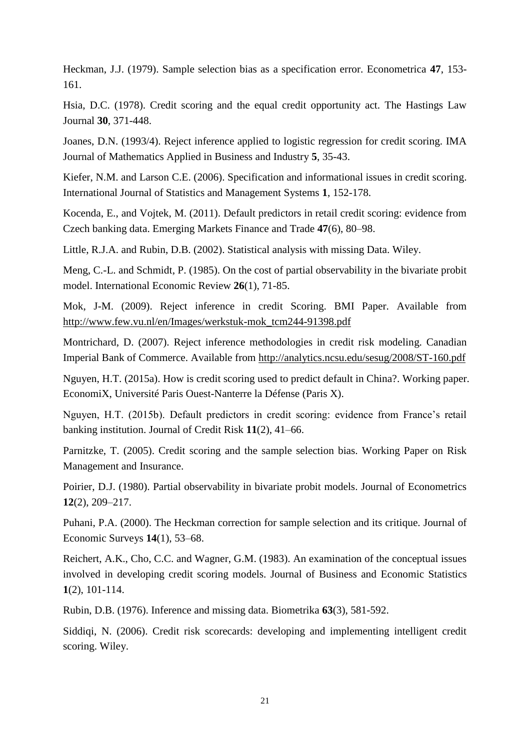Heckman, J.J. (1979). Sample selection bias as a specification error. Econometrica **47**, 153- 161.

Hsia, D.C. (1978). Credit scoring and the equal credit opportunity act. The Hastings Law Journal **30**, 371-448.

Joanes, D.N. (1993/4). Reject inference applied to logistic regression for credit scoring. IMA Journal of Mathematics Applied in Business and Industry **5**, 35-43.

Kiefer, N.M. and Larson C.E. (2006). Specification and informational issues in credit scoring. International Journal of Statistics and Management Systems **1**, 152-178.

Kocenda, E., and Vojtek, M. (2011). Default predictors in retail credit scoring: evidence from Czech banking data. Emerging Markets Finance and Trade **47**(6), 80–98.

Little, R.J.A. and Rubin, D.B. (2002). Statistical analysis with missing Data. Wiley.

Meng, C.-L. and Schmidt, P. (1985). On the cost of partial observability in the bivariate probit model. International Economic Review **26**(1), 71-85.

Mok, J-M. (2009). Reject inference in credit Scoring. BMI Paper. Available from [http://www.few.vu.nl/en/Images/werkstuk-mok\\_tcm244-91398.pdf](http://www.few.vu.nl/en/Images/werkstuk-mok_tcm244-91398.pdf)

Montrichard, D. (2007). Reject inference methodologies in credit risk modeling. Canadian Imperial Bank of Commerce. Available from<http://analytics.ncsu.edu/sesug/2008/ST-160.pdf>

Nguyen, H.T. (2015a). How is credit scoring used to predict default in China?. Working paper. EconomiX, Université Paris Ouest-Nanterre la Défense (Paris X).

Nguyen, H.T. (2015b). Default predictors in credit scoring: evidence from France's retail banking institution. Journal of Credit Risk **11**(2), 41–66.

Parnitzke, T. (2005). Credit scoring and the sample selection bias. Working Paper on Risk Management and Insurance.

Poirier, D.J. (1980). Partial observability in bivariate probit models. Journal of Econometrics **12**(2), 209–217.

Puhani, P.A. (2000). The Heckman correction for sample selection and its critique. Journal of Economic Surveys **14**(1), 53–68.

Reichert, A.K., Cho, C.C. and Wagner, G.M. (1983). An examination of the conceptual issues involved in developing credit scoring models. Journal of Business and Economic Statistics **1**(2), 101-114.

Rubin, D.B. (1976). Inference and missing data. Biometrika **63**(3), 581-592.

Siddiqi, N. (2006). Credit risk scorecards: developing and implementing intelligent credit scoring. Wiley.